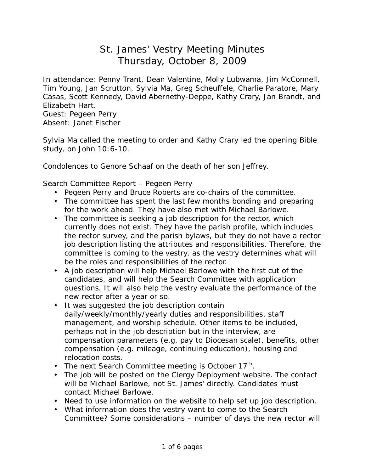## St. James' Vestry Meeting Minutes Thursday, October 8, 2009

In attendance: Penny Trant, Dean Valentine, Molly Lubwama, Jim McConnell, Tim Young, Jan Scrutton, Sylvia Ma, Greg Scheuffele, Charlie Paratore, Mary Casas, Scott Kennedy, David Abernethy-Deppe, Kathy Crary, Jan Brandt, and Elizabeth Hart. Guest: Pegeen Perry

Absent: Janet Fischer

Sylvia Ma called the meeting to order and Kathy Crary led the opening Bible study, on John 10:6-10.

Condolences to Genore Schaaf on the death of her son Jeffrey.

Search Committee Report – Pegeen Perry

- Pegeen Perry and Bruce Roberts are co-chairs of the committee.
- The committee has spent the last few months bonding and preparing for the work ahead. They have also met with Michael Barlowe.
- The committee is seeking a job description for the rector, which currently does not exist. They have the parish profile, which includes the rector survey, and the parish bylaws, but they do not have a rector job description listing the attributes and responsibilities. Therefore, the committee is coming to the vestry, as the vestry determines what will be the roles and responsibilities of the rector.
- A job description will help Michael Barlowe with the first cut of the candidates, and will help the Search Committee with application questions. It will also help the vestry evaluate the performance of the new rector after a year or so.
- It was suggested the job description contain daily/weekly/monthly/yearly duties and responsibilities, staff management, and worship schedule. Other items to be included, perhaps not in the job description but in the interview, are compensation parameters (e.g. pay to Diocesan scale), benefits, other compensation (e.g. mileage, continuing education), housing and relocation costs.
- The next Search Committee meeting is October  $17<sup>th</sup>$ .
- The job will be posted on the Clergy Deployment website. The contact will be Michael Barlowe, not St. James' directly. Candidates must contact Michael Barlowe.
- Need to use information on the website to help set up job description.
- What information does the vestry want to come to the Search Committee? Some considerations – number of days the new rector will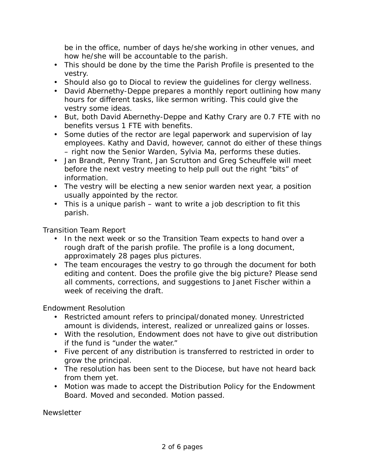be in the office, number of days he/she working in other venues, and how he/she will be accountable to the parish.

- This should be done by the time the Parish Profile is presented to the vestry.
- Should also go to Diocal to review the guidelines for clergy wellness.
- David Abernethy-Deppe prepares a monthly report outlining how many hours for different tasks, like sermon writing. This could give the vestry some ideas.
- But, both David Abernethy-Deppe and Kathy Crary are 0.7 FTE with no benefits versus 1 FTE with benefits.
- Some duties of the rector are legal paperwork and supervision of lay employees. Kathy and David, however, cannot do either of these things – right now the Senior Warden, Sylvia Ma, performs these duties.
- Jan Brandt, Penny Trant, Jan Scrutton and Greg Scheuffele will meet before the next vestry meeting to help pull out the right "bits" of information.
- The vestry will be electing a new senior warden next year, a position usually appointed by the rector.
- This is a unique parish want to write a job description to fit this parish.

Transition Team Report

- In the next week or so the Transition Team expects to hand over a rough draft of the parish profile. The profile is a long document, approximately 28 pages plus pictures.
- The team encourages the vestry to go through the document for both editing and content. Does the profile give the big picture? Please send all comments, corrections, and suggestions to Janet Fischer within a week of receiving the draft.

Endowment Resolution

- Restricted amount refers to principal/donated money. Unrestricted amount is dividends, interest, realized or unrealized gains or losses.
- With the resolution, Endowment does not have to give out distribution if the fund is "under the water."
- Five percent of any distribution is transferred to restricted in order to grow the principal.
- The resolution has been sent to the Diocese, but have not heard back from them yet.
- Motion was made to accept the Distribution Policy for the Endowment Board. Moved and seconded. Motion passed.

**Newsletter**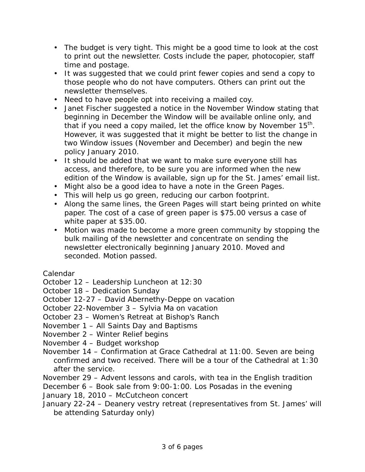- The budget is very tight. This might be a good time to look at the cost to print out the newsletter. Costs include the paper, photocopier, staff time and postage.
- It was suggested that we could print fewer copies and send a copy to those people who do not have computers. Others can print out the newsletter themselves.
- Need to have people opt into receiving a mailed coy.
- Janet Fischer suggested a notice in the November Window stating that beginning in December the Window will be available online only, and that if you need a copy mailed, let the office know by November  $15<sup>th</sup>$ . However, it was suggested that it might be better to list the change in two Window issues (November and December) and begin the new policy January 2010.
- It should be added that we want to make sure everyone still has access, and therefore, to be sure you are informed when the new edition of the Window is available, sign up for the St. James' email list.
- Might also be a good idea to have a note in the Green Pages.
- This will help us go green, reducing our carbon footprint.
- Along the same lines, the Green Pages will start being printed on white paper. The cost of a case of green paper is \$75.00 versus a case of white paper at \$35.00.
- Motion was made to become a more green community by stopping the bulk mailing of the newsletter and concentrate on sending the newsletter electronically beginning January 2010. Moved and seconded. Motion passed.

Calendar

October 12 – Leadership Luncheon at 12:30

October 18 – Dedication Sunday

October 12-27 – David Abernethy-Deppe on vacation

October 22-November 3 – Sylvia Ma on vacation

October 23 – Women's Retreat at Bishop's Ranch

November 1 – All Saints Day and Baptisms

November 2 – Winter Relief begins

November 4 – Budget workshop

November 14 – Confirmation at Grace Cathedral at 11:00. Seven are being confirmed and two received. There will be a tour of the Cathedral at 1:30 after the service.

November 29 – Advent lessons and carols, with tea in the English tradition

December 6 – Book sale from 9:00-1:00. Los Posadas in the evening

January 18, 2010 – McCutcheon concert

January 22-24 – Deanery vestry retreat (representatives from St. James' will be attending Saturday only)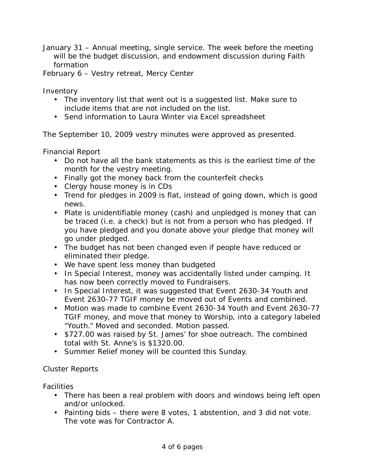January 31 – Annual meeting, single service. The week before the meeting will be the budget discussion, and endowment discussion during Faith formation

February 6 – Vestry retreat, Mercy Center

**Inventory** 

- The inventory list that went out is a suggested list. Make sure to include items that are not included on the list.
- Send information to Laura Winter via Excel spreadsheet

The September 10, 2009 vestry minutes were approved as presented.

Financial Report

- Do not have all the bank statements as this is the earliest time of the month for the vestry meeting.
- Finally got the money back from the counterfeit checks
- Clergy house money is in CDs
- Trend for pledges in 2009 is flat, instead of going down, which is good news.
- Plate is unidentifiable money (cash) and unpledged is money that can be traced (i.e. a check) but is not from a person who has pledged. If you have pledged and you donate above your pledge that money will go under pledged.
- The budget has not been changed even if people have reduced or eliminated their pledge.
- We have spent less money than budgeted
- In Special Interest, money was accidentally listed under camping. It has now been correctly moved to Fundraisers.
- In Special Interest, it was suggested that Event 2630-34 Youth and Event 2630-77 TGIF money be moved out of Events and combined.
- Motion was made to combine Event 2630-34 Youth and Event 2630-77 TGIF money, and move that money to Worship, into a category labeled "Youth." Moved and seconded. Motion passed.
- \$727.00 was raised by St. James' for shoe outreach. The combined total with St. Anne's is \$1320.00.
- Summer Relief money will be counted this Sunday.

## Cluster Reports

**Facilities** 

- There has been a real problem with doors and windows being left open and/or unlocked.
- Painting bids there were 8 votes, 1 abstention, and 3 did not vote. The vote was for Contractor A.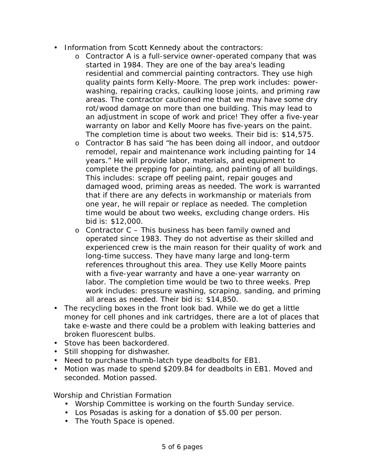- Information from Scott Kennedy about the contractors:
	- o Contractor A is a full-service owner-operated company that was started in 1984. They are one of the bay area's leading residential and commercial painting contractors. They use high quality paints form Kelly-Moore. The prep work includes: powerwashing, repairing cracks, caulking loose joints, and priming raw areas. The contractor cautioned me that we may have some dry rot/wood damage on more than one building. This may lead to an adjustment in scope of work and price! They offer a five-year warranty on labor and Kelly Moore has five-years on the paint. The completion time is about two weeks. Their bid is: \$14,575.
	- o Contractor B has said "he has been doing all indoor, and outdoor remodel, repair and maintenance work including painting for 14 years." He will provide labor, materials, and equipment to complete the prepping for painting, and painting of all buildings. This includes: scrape off peeling paint, repair gouges and damaged wood, priming areas as needed. The work is warranted that if there are any defects in workmanship or materials from one year, he will repair or replace as needed. The completion time would be about two weeks, excluding change orders. His bid is: \$12,000.
	- $\circ$  Contractor C This business has been family owned and operated since 1983. They do not advertise as their skilled and experienced crew is the main reason for their quality of work and long-time success. They have many large and long-term references throughout this area. They use Kelly Moore paints with a five-year warranty and have a one-year warranty on labor. The completion time would be two to three weeks. Prep work includes: pressure washing, scraping, sanding, and priming all areas as needed. Their bid is: \$14,850.
- The recycling boxes in the front look bad. While we do get a little money for cell phones and ink cartridges, there are a lot of places that take e-waste and there could be a problem with leaking batteries and broken fluorescent bulbs.
- Stove has been backordered.
- Still shopping for dishwasher.
- Need to purchase thumb-latch type deadbolts for EB1.
- Motion was made to spend \$209.84 for deadbolts in EB1. Moved and seconded. Motion passed.

Worship and Christian Formation

- Worship Committee is working on the fourth Sunday service.
- Los Posadas is asking for a donation of \$5.00 per person.
- The Youth Space is opened.